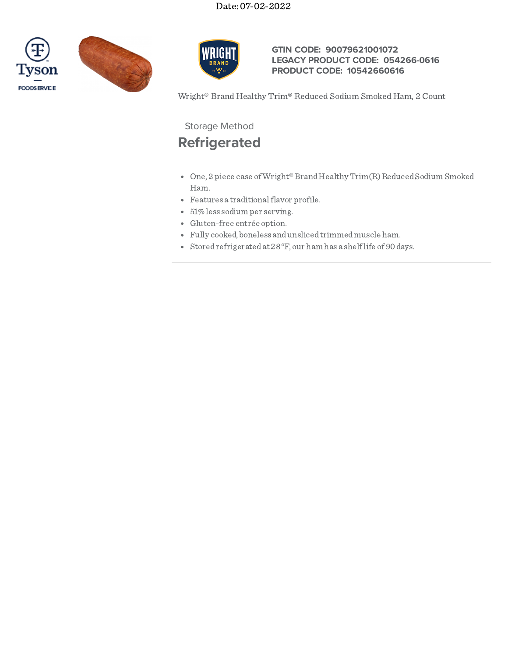





## **GTIN CODE: 90079621001072 LEGACY PRODUCT CODE: 054266-0616 PRODUCT CODE: 10542660616**

Wright® Brand Healthy Trim® Reduced Sodium Smoked Ham, 2 Count

Storage Method

# **Refrigerated**

- One, 2 piece case of Wright® Brand Healthy Trim(R) Reduced Sodium Smoked Ham.
- Features a traditional flavor profile.
- 51%less sodium per serving.
- Gluten-free entrée option.
- Fully cooked, boneless andunslicedtrimmedmuscle ham.
- Storedrefrigeratedat 28°F, our ham has a shelflife of 90 days.